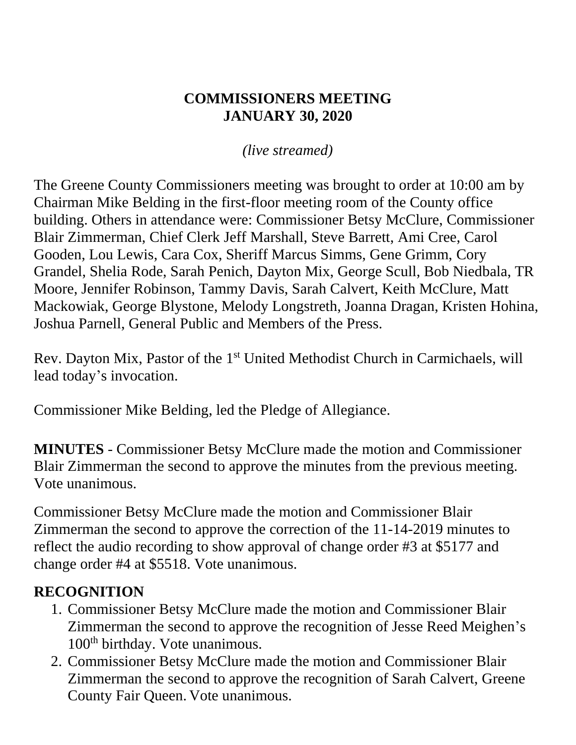#### **COMMISSIONERS MEETING JANUARY 30, 2020**

*(live streamed)*

The Greene County Commissioners meeting was brought to order at 10:00 am by Chairman Mike Belding in the first-floor meeting room of the County office building. Others in attendance were: Commissioner Betsy McClure, Commissioner Blair Zimmerman, Chief Clerk Jeff Marshall, Steve Barrett, Ami Cree, Carol Gooden, Lou Lewis, Cara Cox, Sheriff Marcus Simms, Gene Grimm, Cory Grandel, Shelia Rode, Sarah Penich, Dayton Mix, George Scull, Bob Niedbala, TR Moore, Jennifer Robinson, Tammy Davis, Sarah Calvert, Keith McClure, Matt Mackowiak, George Blystone, Melody Longstreth, Joanna Dragan, Kristen Hohina, Joshua Parnell, General Public and Members of the Press.

Rev. Dayton Mix, Pastor of the 1<sup>st</sup> United Methodist Church in Carmichaels, will lead today's invocation.

Commissioner Mike Belding, led the Pledge of Allegiance.

**MINUTES** - Commissioner Betsy McClure made the motion and Commissioner Blair Zimmerman the second to approve the minutes from the previous meeting. Vote unanimous.

Commissioner Betsy McClure made the motion and Commissioner Blair Zimmerman the second to approve the correction of the 11-14-2019 minutes to reflect the audio recording to show approval of change order #3 at \$5177 and change order #4 at \$5518. Vote unanimous.

#### **RECOGNITION**

- 1. Commissioner Betsy McClure made the motion and Commissioner Blair Zimmerman the second to approve the recognition of Jesse Reed Meighen's 100<sup>th</sup> birthday. Vote unanimous.
- 2. Commissioner Betsy McClure made the motion and Commissioner Blair Zimmerman the second to approve the recognition of Sarah Calvert, Greene County Fair Queen. Vote unanimous.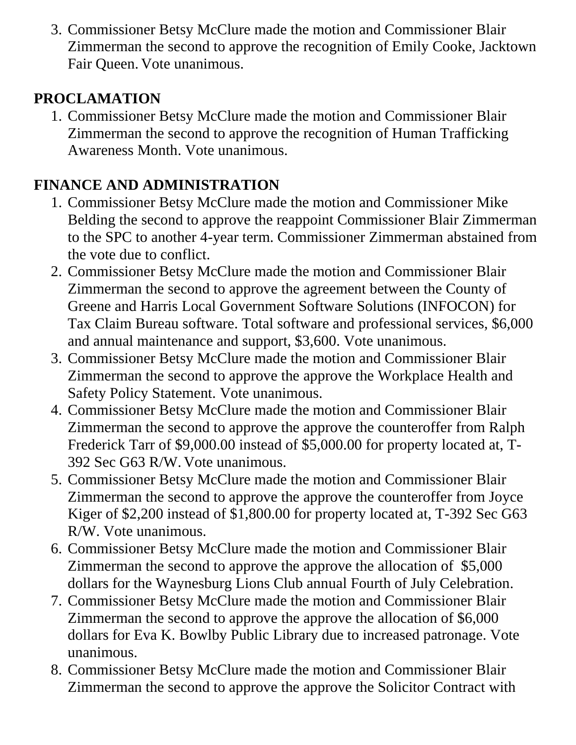3. Commissioner Betsy McClure made the motion and Commissioner Blair Zimmerman the second to approve the recognition of Emily Cooke, Jacktown Fair Queen. Vote unanimous.

### **PROCLAMATION**

1. Commissioner Betsy McClure made the motion and Commissioner Blair Zimmerman the second to approve the recognition of Human Trafficking Awareness Month. Vote unanimous.

# **FINANCE AND ADMINISTRATION**

- 1. Commissioner Betsy McClure made the motion and Commissioner Mike Belding the second to approve the reappoint Commissioner Blair Zimmerman to the SPC to another 4-year term. Commissioner Zimmerman abstained from the vote due to conflict.
- 2. Commissioner Betsy McClure made the motion and Commissioner Blair Zimmerman the second to approve the agreement between the County of Greene and Harris Local Government Software Solutions (INFOCON) for Tax Claim Bureau software. Total software and professional services, \$6,000 and annual maintenance and support, \$3,600. Vote unanimous.
- 3. Commissioner Betsy McClure made the motion and Commissioner Blair Zimmerman the second to approve the approve the Workplace Health and Safety Policy Statement. Vote unanimous.
- 4. Commissioner Betsy McClure made the motion and Commissioner Blair Zimmerman the second to approve the approve the counteroffer from Ralph Frederick Tarr of \$9,000.00 instead of \$5,000.00 for property located at, T-392 Sec G63 R/W. Vote unanimous.
- 5. Commissioner Betsy McClure made the motion and Commissioner Blair Zimmerman the second to approve the approve the counteroffer from Joyce Kiger of \$2,200 instead of \$1,800.00 for property located at, T-392 Sec G63 R/W. Vote unanimous.
- 6. Commissioner Betsy McClure made the motion and Commissioner Blair Zimmerman the second to approve the approve the allocation of \$5,000 dollars for the Waynesburg Lions Club annual Fourth of July Celebration.
- 7. Commissioner Betsy McClure made the motion and Commissioner Blair Zimmerman the second to approve the approve the allocation of \$6,000 dollars for Eva K. Bowlby Public Library due to increased patronage. Vote unanimous.
- 8. Commissioner Betsy McClure made the motion and Commissioner Blair Zimmerman the second to approve the approve the Solicitor Contract with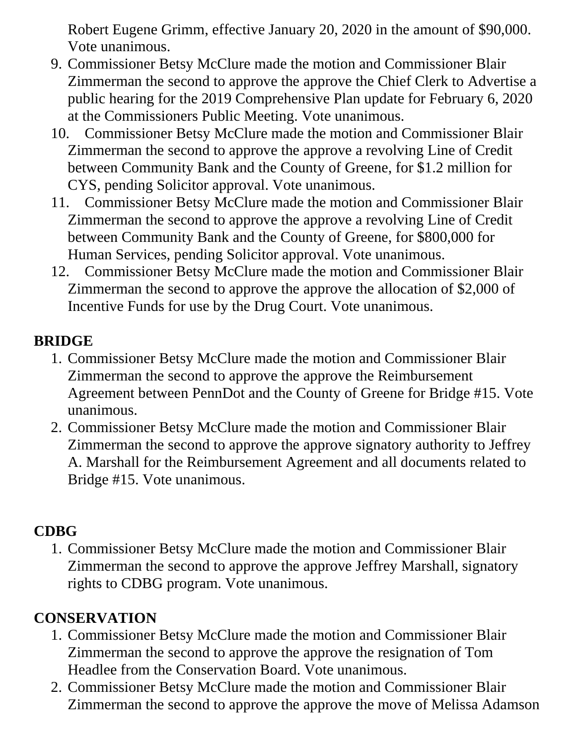Robert Eugene Grimm, effective January 20, 2020 in the amount of \$90,000. Vote unanimous.

- 9. Commissioner Betsy McClure made the motion and Commissioner Blair Zimmerman the second to approve the approve the Chief Clerk to Advertise a public hearing for the 2019 Comprehensive Plan update for February 6, 2020 at the Commissioners Public Meeting. Vote unanimous.
- 10. Commissioner Betsy McClure made the motion and Commissioner Blair Zimmerman the second to approve the approve a revolving Line of Credit between Community Bank and the County of Greene, for \$1.2 million for CYS, pending Solicitor approval. Vote unanimous.
- 11. Commissioner Betsy McClure made the motion and Commissioner Blair Zimmerman the second to approve the approve a revolving Line of Credit between Community Bank and the County of Greene, for \$800,000 for Human Services, pending Solicitor approval. Vote unanimous.
- 12. Commissioner Betsy McClure made the motion and Commissioner Blair Zimmerman the second to approve the approve the allocation of \$2,000 of Incentive Funds for use by the Drug Court. Vote unanimous.

### **BRIDGE**

- 1. Commissioner Betsy McClure made the motion and Commissioner Blair Zimmerman the second to approve the approve the Reimbursement Agreement between PennDot and the County of Greene for Bridge #15. Vote unanimous.
- 2. Commissioner Betsy McClure made the motion and Commissioner Blair Zimmerman the second to approve the approve signatory authority to Jeffrey A. Marshall for the Reimbursement Agreement and all documents related to Bridge #15. Vote unanimous.

### **CDBG**

1. Commissioner Betsy McClure made the motion and Commissioner Blair Zimmerman the second to approve the approve Jeffrey Marshall, signatory rights to CDBG program. Vote unanimous.

# **CONSERVATION**

- 1. Commissioner Betsy McClure made the motion and Commissioner Blair Zimmerman the second to approve the approve the resignation of Tom Headlee from the Conservation Board. Vote unanimous.
- 2. Commissioner Betsy McClure made the motion and Commissioner Blair Zimmerman the second to approve the approve the move of Melissa Adamson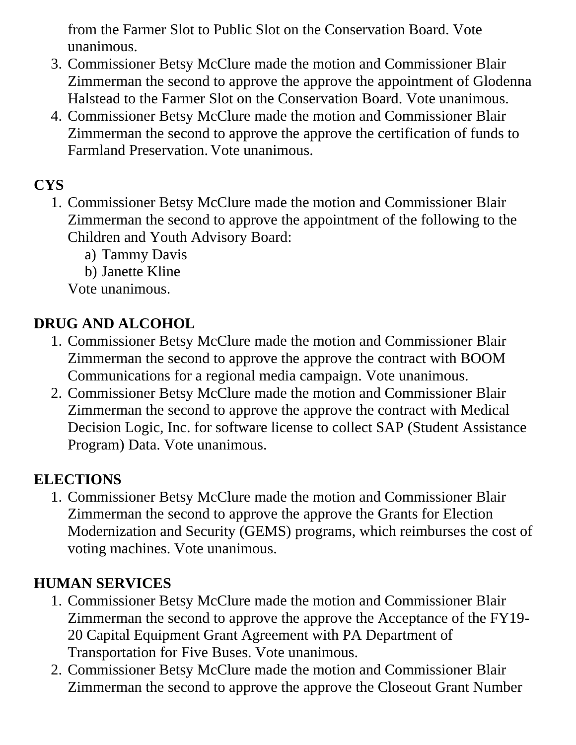from the Farmer Slot to Public Slot on the Conservation Board. Vote unanimous.

- 3. Commissioner Betsy McClure made the motion and Commissioner Blair Zimmerman the second to approve the approve the appointment of Glodenna Halstead to the Farmer Slot on the Conservation Board. Vote unanimous.
- 4. Commissioner Betsy McClure made the motion and Commissioner Blair Zimmerman the second to approve the approve the certification of funds to Farmland Preservation. Vote unanimous.

### **CYS**

- 1. Commissioner Betsy McClure made the motion and Commissioner Blair Zimmerman the second to approve the appointment of the following to the Children and Youth Advisory Board:
	- a) Tammy Davis
	- b) Janette Kline

Vote unanimous.

### **DRUG AND ALCOHOL**

- 1. Commissioner Betsy McClure made the motion and Commissioner Blair Zimmerman the second to approve the approve the contract with BOOM Communications for a regional media campaign. Vote unanimous.
- 2. Commissioner Betsy McClure made the motion and Commissioner Blair Zimmerman the second to approve the approve the contract with Medical Decision Logic, Inc. for software license to collect SAP (Student Assistance Program) Data. Vote unanimous.

### **ELECTIONS**

1. Commissioner Betsy McClure made the motion and Commissioner Blair Zimmerman the second to approve the approve the Grants for Election Modernization and Security (GEMS) programs, which reimburses the cost of voting machines. Vote unanimous.

### **HUMAN SERVICES**

- 1. Commissioner Betsy McClure made the motion and Commissioner Blair Zimmerman the second to approve the approve the Acceptance of the FY19- 20 Capital Equipment Grant Agreement with PA Department of Transportation for Five Buses. Vote unanimous.
- 2. Commissioner Betsy McClure made the motion and Commissioner Blair Zimmerman the second to approve the approve the Closeout Grant Number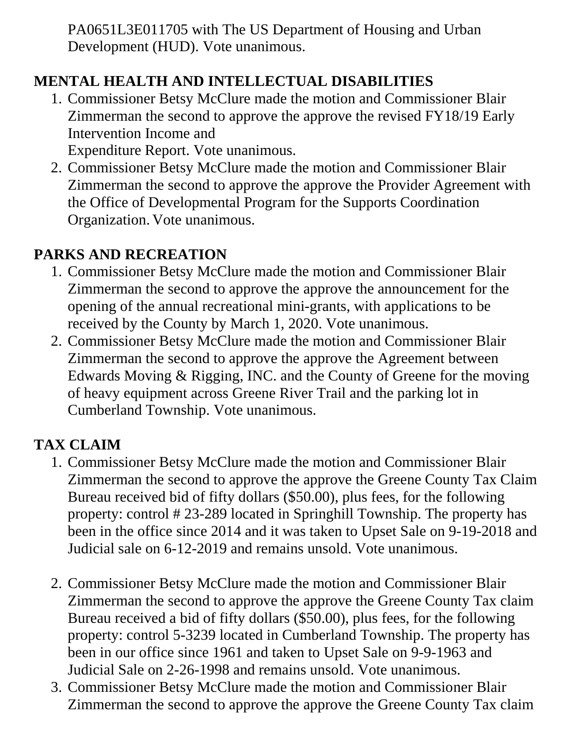PA0651L3E011705 with The US Department of Housing and Urban Development (HUD). Vote unanimous.

# **MENTAL HEALTH AND INTELLECTUAL DISABILITIES**

1. Commissioner Betsy McClure made the motion and Commissioner Blair Zimmerman the second to approve the approve the revised FY18/19 Early Intervention Income and

Expenditure Report. Vote unanimous.

2. Commissioner Betsy McClure made the motion and Commissioner Blair Zimmerman the second to approve the approve the Provider Agreement with the Office of Developmental Program for the Supports Coordination Organization. Vote unanimous.

#### **PARKS AND RECREATION**

- 1. Commissioner Betsy McClure made the motion and Commissioner Blair Zimmerman the second to approve the approve the announcement for the opening of the annual recreational mini-grants, with applications to be received by the County by March 1, 2020. Vote unanimous.
- 2. Commissioner Betsy McClure made the motion and Commissioner Blair Zimmerman the second to approve the approve the Agreement between Edwards Moving & Rigging, INC. and the County of Greene for the moving of heavy equipment across Greene River Trail and the parking lot in Cumberland Township. Vote unanimous.

# **TAX CLAIM**

- 1. Commissioner Betsy McClure made the motion and Commissioner Blair Zimmerman the second to approve the approve the Greene County Tax Claim Bureau received bid of fifty dollars (\$50.00), plus fees, for the following property: control # 23-289 located in Springhill Township. The property has been in the office since 2014 and it was taken to Upset Sale on 9-19-2018 and Judicial sale on 6-12-2019 and remains unsold. Vote unanimous.
- 2. Commissioner Betsy McClure made the motion and Commissioner Blair Zimmerman the second to approve the approve the Greene County Tax claim Bureau received a bid of fifty dollars (\$50.00), plus fees, for the following property: control 5-3239 located in Cumberland Township. The property has been in our office since 1961 and taken to Upset Sale on 9-9-1963 and Judicial Sale on 2-26-1998 and remains unsold. Vote unanimous.
- 3. Commissioner Betsy McClure made the motion and Commissioner Blair Zimmerman the second to approve the approve the Greene County Tax claim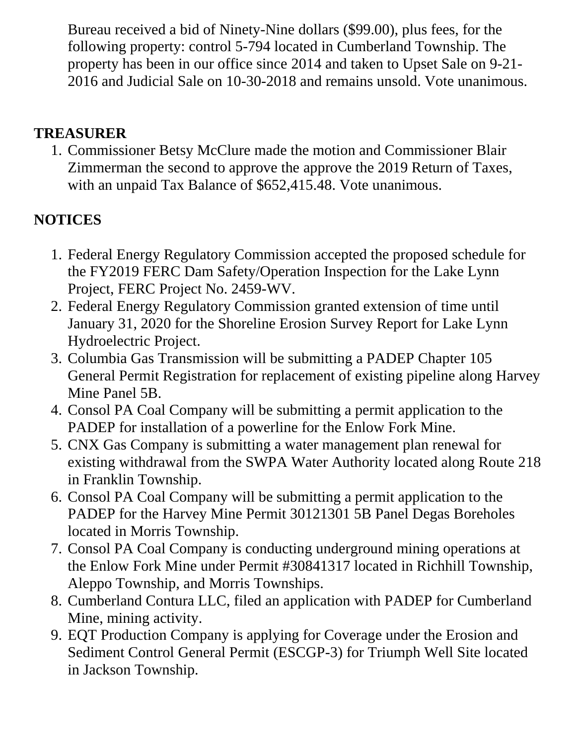Bureau received a bid of Ninety-Nine dollars (\$99.00), plus fees, for the following property: control 5-794 located in Cumberland Township. The property has been in our office since 2014 and taken to Upset Sale on 9-21- 2016 and Judicial Sale on 10-30-2018 and remains unsold. Vote unanimous.

#### **TREASURER**

1. Commissioner Betsy McClure made the motion and Commissioner Blair Zimmerman the second to approve the approve the 2019 Return of Taxes, with an unpaid Tax Balance of  $$652,415.48$ . Vote unanimous.

# **NOTICES**

- 1. Federal Energy Regulatory Commission accepted the proposed schedule for the FY2019 FERC Dam Safety/Operation Inspection for the Lake Lynn Project, FERC Project No. 2459-WV.
- 2. Federal Energy Regulatory Commission granted extension of time until January 31, 2020 for the Shoreline Erosion Survey Report for Lake Lynn Hydroelectric Project.
- 3. Columbia Gas Transmission will be submitting a PADEP Chapter 105 General Permit Registration for replacement of existing pipeline along Harvey Mine Panel 5B.
- 4. Consol PA Coal Company will be submitting a permit application to the PADEP for installation of a powerline for the Enlow Fork Mine.
- 5. CNX Gas Company is submitting a water management plan renewal for existing withdrawal from the SWPA Water Authority located along Route 218 in Franklin Township.
- 6. Consol PA Coal Company will be submitting a permit application to the PADEP for the Harvey Mine Permit 30121301 5B Panel Degas Boreholes located in Morris Township.
- 7. Consol PA Coal Company is conducting underground mining operations at the Enlow Fork Mine under Permit #30841317 located in Richhill Township, Aleppo Township, and Morris Townships.
- 8. Cumberland Contura LLC, filed an application with PADEP for Cumberland Mine, mining activity.
- 9. EQT Production Company is applying for Coverage under the Erosion and Sediment Control General Permit (ESCGP-3) for Triumph Well Site located in Jackson Township.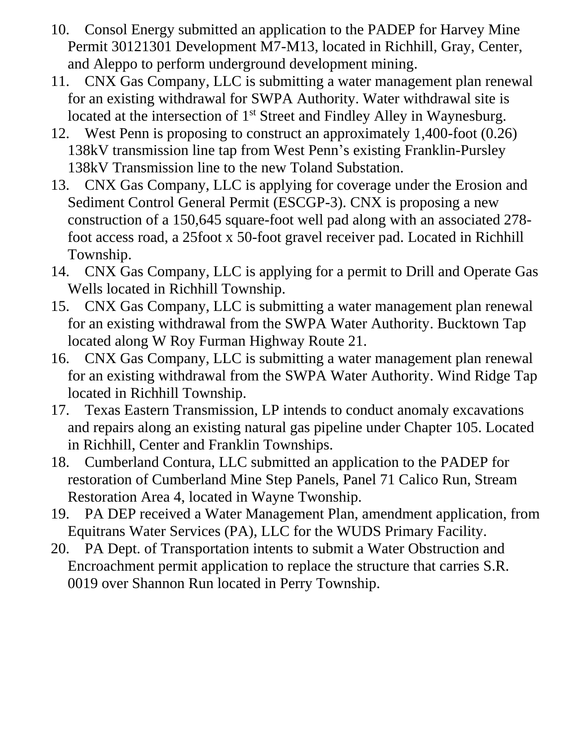- 10. Consol Energy submitted an application to the PADEP for Harvey Mine Permit 30121301 Development M7-M13, located in Richhill, Gray, Center, and Aleppo to perform underground development mining.
- 11. CNX Gas Company, LLC is submitting a water management plan renewal for an existing withdrawal for SWPA Authority. Water withdrawal site is located at the intersection of 1<sup>st</sup> Street and Findley Alley in Waynesburg.
- 12. West Penn is proposing to construct an approximately 1,400-foot (0.26) 138kV transmission line tap from West Penn's existing Franklin-Pursley 138kV Transmission line to the new Toland Substation.
- 13. CNX Gas Company, LLC is applying for coverage under the Erosion and Sediment Control General Permit (ESCGP-3). CNX is proposing a new construction of a 150,645 square-foot well pad along with an associated 278 foot access road, a 25foot x 50-foot gravel receiver pad. Located in Richhill Township.
- 14. CNX Gas Company, LLC is applying for a permit to Drill and Operate Gas Wells located in Richhill Township.
- 15. CNX Gas Company, LLC is submitting a water management plan renewal for an existing withdrawal from the SWPA Water Authority. Bucktown Tap located along W Roy Furman Highway Route 21.
- 16. CNX Gas Company, LLC is submitting a water management plan renewal for an existing withdrawal from the SWPA Water Authority. Wind Ridge Tap located in Richhill Township.
- 17. Texas Eastern Transmission, LP intends to conduct anomaly excavations and repairs along an existing natural gas pipeline under Chapter 105. Located in Richhill, Center and Franklin Townships.
- 18. Cumberland Contura, LLC submitted an application to the PADEP for restoration of Cumberland Mine Step Panels, Panel 71 Calico Run, Stream Restoration Area 4, located in Wayne Twonship.
- 19. PA DEP received a Water Management Plan, amendment application, from Equitrans Water Services (PA), LLC for the WUDS Primary Facility.
- 20. PA Dept. of Transportation intents to submit a Water Obstruction and Encroachment permit application to replace the structure that carries S.R. 0019 over Shannon Run located in Perry Township.